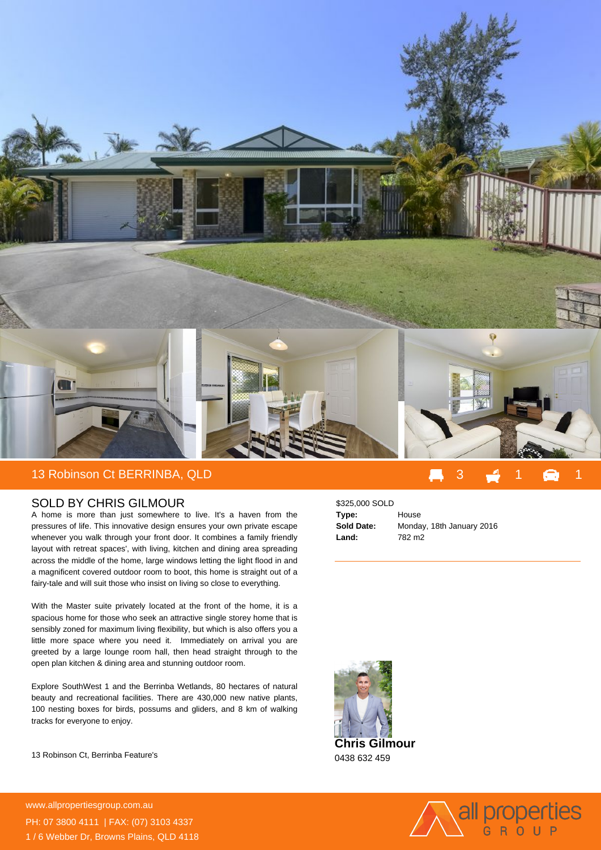

## SOLD BY CHRIS GILMOUR

A home is more than just somewhere to live. It's a haven from the pressures of life. This innovative design ensures your own private escape whenever you walk through your front door. It combines a family friendly layout with retreat spaces', with living, kitchen and dining area spreading across the middle of the home, large windows letting the light flood in and a magnificent covered outdoor room to boot, this home is straight out of a fairy-tale and will suit those who insist on living so close to everything.

With the Master suite privately located at the front of the home, it is a spacious home for those who seek an attractive single storey home that is sensibly zoned for maximum living flexibility, but which is also offers you a little more space where you need it. Immediately on arrival you are greeted by a large lounge room hall, then head straight through to the open plan kitchen & dining area and stunning outdoor room.

Explore SouthWest 1 and the Berrinba Wetlands, 80 hectares of natural beauty and recreational facilities. There are 430,000 new native plants, 100 nesting boxes for birds, possums and gliders, and 8 km of walking tracks for everyone to enjoy.

13 Robinson Ct, Berrinba Feature's

**For more details please visit https://www.allpropertiesgroup.com.au/2424760** www.allpropertiesgroup.com.au PH: 07 3800 4111 | FAX: (07) 3103 4337 1 / 6 Webber Dr, Browns Plains, QLD 4118

## \$325,000 SOLD

| Type:      | House                     |
|------------|---------------------------|
| Sold Date: | Monday, 18th January 2016 |
| Land:      | 782 m <sub>2</sub>        |



0438 632 459